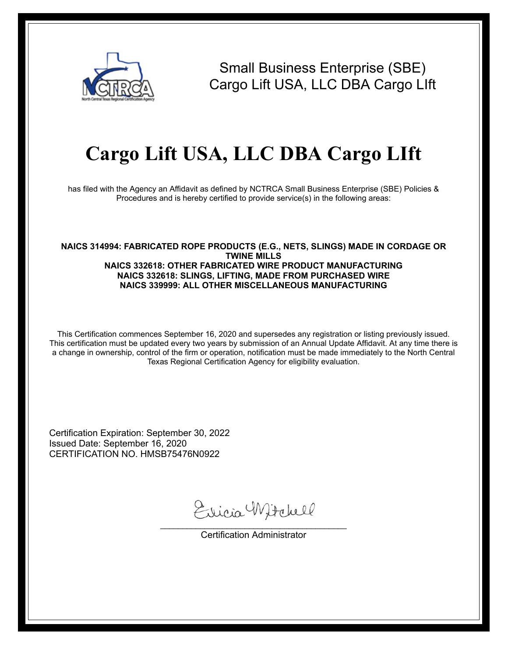

Small Business Enterprise (SBE) Cargo Lift USA, LLC DBA Cargo LIft

## **Cargo Lift USA, LLC DBA Cargo LIft**

has filed with the Agency an Affidavit as defined by NCTRCA Small Business Enterprise (SBE) Policies & Procedures and is hereby certified to provide service(s) in the following areas:

## **NAICS 314994: FABRICATED ROPE PRODUCTS (E.G., NETS, SLINGS) MADE IN CORDAGE OR TWINE MILLS NAICS 332618: OTHER FABRICATED WIRE PRODUCT MANUFACTURING NAICS 332618: SLINGS, LIFTING, MADE FROM PURCHASED WIRE NAICS 339999: ALL OTHER MISCELLANEOUS MANUFACTURING**

This Certification commences September 16, 2020 and supersedes any registration or listing previously issued. This certification must be updated every two years by submission of an Annual Update Affidavit. At any time there is a change in ownership, control of the firm or operation, notification must be made immediately to the North Central Texas Regional Certification Agency for eligibility evaluation.

Certification Expiration: September 30, 2022 Issued Date: September 16, 2020 CERTIFICATION NO. HMSB75476N0922

Ericia Witchell

\_\_\_\_\_\_\_\_\_\_\_\_\_\_\_\_\_\_\_\_\_\_\_\_\_\_\_\_\_\_\_\_\_\_\_\_\_\_\_\_\_\_ Certification Administrator